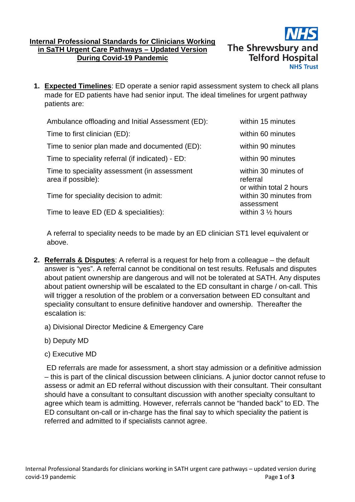## **Internal Professional Standards for Clinicians Working in SaTH Urgent Care Pathways – Updated Version During Covid-19 Pandemic**



**1. Expected Timelines**: ED operate a senior rapid assessment system to check all plans made for ED patients have had senior input. The ideal timelines for urgent pathway patients are:

| Ambulance offloading and Initial Assessment (ED):                  | within 15 minutes                                           |
|--------------------------------------------------------------------|-------------------------------------------------------------|
| Time to first clinician (ED):                                      | within 60 minutes                                           |
| Time to senior plan made and documented (ED):                      | within 90 minutes                                           |
| Time to speciality referral (if indicated) - ED:                   | within 90 minutes                                           |
| Time to speciality assessment (in assessment<br>area if possible): | within 30 minutes of<br>referral<br>or within total 2 hours |
| Time for speciality decision to admit:                             | within 30 minutes from                                      |
| Time to leave ED (ED & specialities):                              | assessment<br>within $3 \frac{1}{2}$ hours                  |

A referral to speciality needs to be made by an ED clinician ST1 level equivalent or above.

- **2. Referrals & Disputes**: A referral is a request for help from a colleague the default answer is "yes". A referral cannot be conditional on test results. Refusals and disputes about patient ownership are dangerous and will not be tolerated at SATH. Any disputes about patient ownership will be escalated to the ED consultant in charge / on-call. This will trigger a resolution of the problem or a conversation between ED consultant and speciality consultant to ensure definitive handover and ownership. Thereafter the escalation is:
	- a) Divisional Director Medicine & Emergency Care
	- b) Deputy MD
	- c) Executive MD

ED referrals are made for assessment, a short stay admission or a definitive admission – this is part of the clinical discussion between clinicians. A junior doctor cannot refuse to assess or admit an ED referral without discussion with their consultant. Their consultant should have a consultant to consultant discussion with another specialty consultant to agree which team is admitting. However, referrals cannot be "handed back" to ED. The ED consultant on-call or in-charge has the final say to which speciality the patient is referred and admitted to if specialists cannot agree.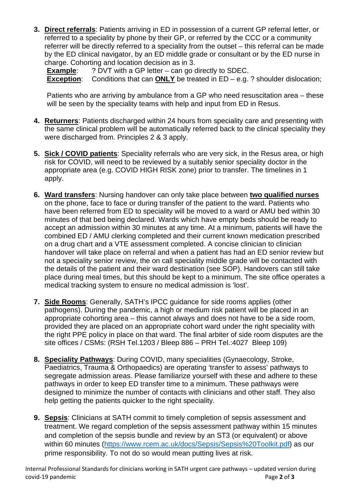**3. Direct referrals**: Patients arriving in ED in possession of a current GP referral letter, or referred to a speciality by phone by their GP, or referred by the CCC or a community referrer will be directly referred to a speciality from the outset – this referral can be made by the ED clinical navigator, by an ED middle grade or consultant or by the ED nurse in charge. Cohorting and location decision as in 3.

**Example:** ? DVT with a GP letter – can go directly to SDEC. **Exception:** Conditions that can **ONLY** be treated in ED – e.g. ? shoulder dislocation;

Patients who are arriving by ambulance from a GP who need resuscitation area – these will be seen by the speciality teams with help and input from ED in Resus.

- **4. Returners**: Patients discharged within 24 hours from speciality care and presenting with the same clinical problem will be automatically referred back to the clinical speciality they were discharged from. Principles 2 & 3 apply.
- **5. Sick / COVID patients**: Speciality referrals who are very sick, in the Resus area, or high risk for COVID, will need to be reviewed by a suitably senior speciality doctor in the appropriate area (e.g. COVID HIGH RISK zone) prior to transfer. The timelines in 1 apply.
- **6. Ward transfers**: Nursing handover can only take place between **two qualified nurses** on the phone, face to face or during transfer of the patient to the ward. Patients who have been referred from ED to speciality will be moved to a ward or AMU bed within 30 minutes of that bed being declared. Wards which have empty beds should be ready to accept an admission within 30 minutes at any time. At a minimum, patients will have the combined ED / AMU clerking completed and their current known medication prescribed on a drug chart and a VTE assessment completed. A concise clinician to clinician handover will take place on referral and when a patient has had an ED senior review but not a speciality senior review, the on call speciality middle grade will be contacted with the details of the patient and their ward destination (see SOP). Handovers can still take place during meal times, but this should be kept to a minimum. The site office operates a medical tracking system to ensure no medical admission is 'lost'.
- **7. Side Rooms**: Generally, SATH's IPCC guidance for side rooms applies (other pathogens). During the pandemic, a high or medium risk patient will be placed in an appropriate cohorting area – this cannot always and does not have to be a side room, provided they are placed on an appropriate cohort ward under the right speciality with the right PPE policy in place on that ward. The final arbiter of side room disputes are the site offices / CSMs: (RSH Tel.1203 / Bleep 886 – PRH Tel.:4027 Bleep 109)
- **8. Speciality Pathways**: During COVID, many specialities (Gynaecology, Stroke, Paediatrics, Trauma & Orthopaedics) are operating 'transfer to assess' pathways to segregate admission areas. Please familiarize yourself with these and adhere to these pathways in order to keep ED transfer time to a minimum. These pathways were designed to minimize the number of contacts with clinicians and other staff. They also help getting the patients quicker to the right speciality.
- **9. Sepsis**: Clinicians at SATH commit to timely completion of sepsis assessment and treatment. We regard completion of the sepsis assessment pathway within 15 minutes and completion of the sepsis bundle and review by an ST3 (or equivalent) or above within 60 minutes [\(https://www.rcem.ac.uk/docs/Sepsis/Sepsis%20Toolkit.pdf\)](https://www.rcem.ac.uk/docs/Sepsis/Sepsis%20Toolkit.pdf) as our prime responsibility. To not do so would mean putting lives at risk.